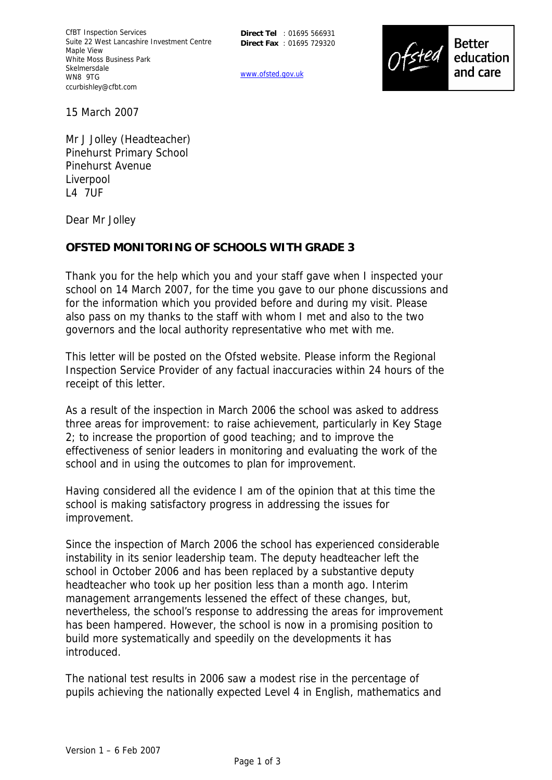**Direct Tel** : 01695 566931 **Direct Fax** : 01695 729320

www.ofsted.gov.uk



15 March 2007

Mr J Jolley (Headteacher) Pinehurst Primary School Pinehurst Avenue Liverpool L4 7UF

Dear Mr Jolley

## **OFSTED MONITORING OF SCHOOLS WITH GRADE 3**

Thank you for the help which you and your staff gave when I inspected your school on 14 March 2007, for the time you gave to our phone discussions and for the information which you provided before and during my visit. Please also pass on my thanks to the staff with whom I met and also to the two governors and the local authority representative who met with me.

This letter will be posted on the Ofsted website. Please inform the Regional Inspection Service Provider of any factual inaccuracies within 24 hours of the receipt of this letter.

As a result of the inspection in March 2006 the school was asked to address three areas for improvement: to raise achievement, particularly in Key Stage 2; to increase the proportion of good teaching; and to improve the effectiveness of senior leaders in monitoring and evaluating the work of the school and in using the outcomes to plan for improvement.

Having considered all the evidence I am of the opinion that at this time the school is making satisfactory progress in addressing the issues for improvement.

Since the inspection of March 2006 the school has experienced considerable instability in its senior leadership team. The deputy headteacher left the school in October 2006 and has been replaced by a substantive deputy headteacher who took up her position less than a month ago. Interim management arrangements lessened the effect of these changes, but, nevertheless, the school's response to addressing the areas for improvement has been hampered. However, the school is now in a promising position to build more systematically and speedily on the developments it has introduced.

The national test results in 2006 saw a modest rise in the percentage of pupils achieving the nationally expected Level 4 in English, mathematics and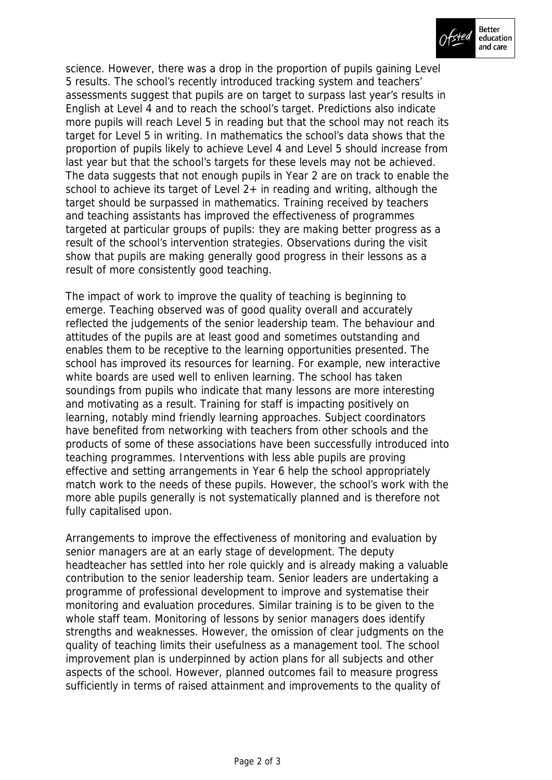

science. However, there was a drop in the proportion of pupils gaining Level 5 results. The school's recently introduced tracking system and teachers' assessments suggest that pupils are on target to surpass last year's results in English at Level 4 and to reach the school's target. Predictions also indicate more pupils will reach Level 5 in reading but that the school may not reach its target for Level 5 in writing. In mathematics the school's data shows that the proportion of pupils likely to achieve Level 4 and Level 5 should increase from last year but that the school's targets for these levels may not be achieved. The data suggests that not enough pupils in Year 2 are on track to enable the school to achieve its target of Level 2+ in reading and writing, although the target should be surpassed in mathematics. Training received by teachers and teaching assistants has improved the effectiveness of programmes targeted at particular groups of pupils: they are making better progress as a result of the school's intervention strategies. Observations during the visit show that pupils are making generally good progress in their lessons as a result of more consistently good teaching.

The impact of work to improve the quality of teaching is beginning to emerge. Teaching observed was of good quality overall and accurately reflected the judgements of the senior leadership team. The behaviour and attitudes of the pupils are at least good and sometimes outstanding and enables them to be receptive to the learning opportunities presented. The school has improved its resources for learning. For example, new interactive white boards are used well to enliven learning. The school has taken soundings from pupils who indicate that many lessons are more interesting and motivating as a result. Training for staff is impacting positively on learning, notably mind friendly learning approaches. Subject coordinators have benefited from networking with teachers from other schools and the products of some of these associations have been successfully introduced into teaching programmes. Interventions with less able pupils are proving effective and setting arrangements in Year 6 help the school appropriately match work to the needs of these pupils. However, the school's work with the more able pupils generally is not systematically planned and is therefore not fully capitalised upon.

Arrangements to improve the effectiveness of monitoring and evaluation by senior managers are at an early stage of development. The deputy headteacher has settled into her role quickly and is already making a valuable contribution to the senior leadership team. Senior leaders are undertaking a programme of professional development to improve and systematise their monitoring and evaluation procedures. Similar training is to be given to the whole staff team. Monitoring of lessons by senior managers does identify strengths and weaknesses. However, the omission of clear judgments on the quality of teaching limits their usefulness as a management tool. The school improvement plan is underpinned by action plans for all subjects and other aspects of the school. However, planned outcomes fail to measure progress sufficiently in terms of raised attainment and improvements to the quality of